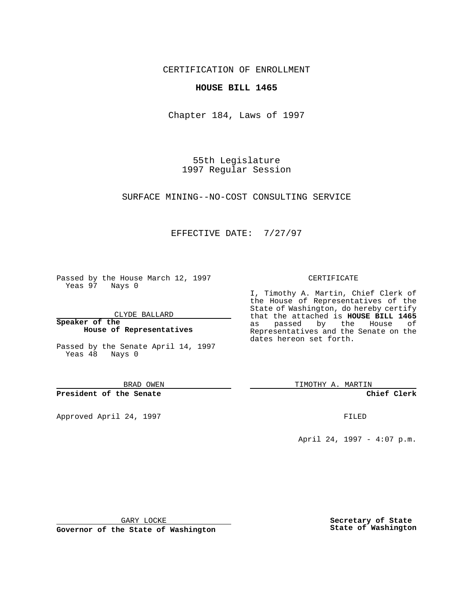CERTIFICATION OF ENROLLMENT

## **HOUSE BILL 1465**

Chapter 184, Laws of 1997

55th Legislature 1997 Regular Session

SURFACE MINING--NO-COST CONSULTING SERVICE

## EFFECTIVE DATE: 7/27/97

Passed by the House March 12, 1997 Yeas 97 Nays 0

CLYDE BALLARD

**Speaker of the House of Representatives**

Passed by the Senate April 14, 1997 Yeas 48 Nays 0

BRAD OWEN

**President of the Senate**

Approved April 24, 1997 **FILED** 

## CERTIFICATE

I, Timothy A. Martin, Chief Clerk of the House of Representatives of the State of Washington, do hereby certify that the attached is **HOUSE BILL 1465** as passed by the House of Representatives and the Senate on the dates hereon set forth.

TIMOTHY A. MARTIN

**Chief Clerk**

April 24, 1997 - 4:07 p.m.

GARY LOCKE

**Governor of the State of Washington**

**Secretary of State State of Washington**